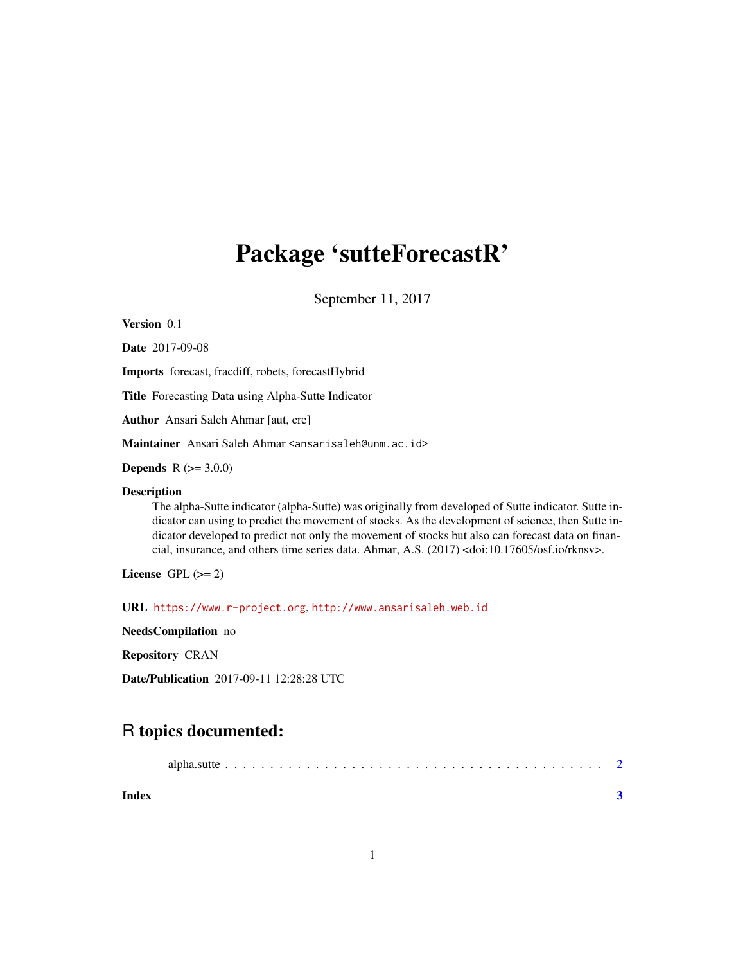## Package 'sutteForecastR'

September 11, 2017

Version 0.1

Date 2017-09-08

Imports forecast, fracdiff, robets, forecastHybrid

Title Forecasting Data using Alpha-Sutte Indicator

Author Ansari Saleh Ahmar [aut, cre]

Maintainer Ansari Saleh Ahmar <ansarisaleh@unm.ac.id>

**Depends** R  $(>= 3.0.0)$ 

#### Description

The alpha-Sutte indicator (alpha-Sutte) was originally from developed of Sutte indicator. Sutte indicator can using to predict the movement of stocks. As the development of science, then Sutte indicator developed to predict not only the movement of stocks but also can forecast data on financial, insurance, and others time series data. Ahmar, A.S. (2017) <doi:10.17605/osf.io/rknsv>.

License GPL  $(>= 2)$ 

URL <https://www.r-project.org>, <http://www.ansarisaleh.web.id>

NeedsCompilation no

Repository CRAN

Date/Publication 2017-09-11 12:28:28 UTC

### R topics documented:

| Index |  |
|-------|--|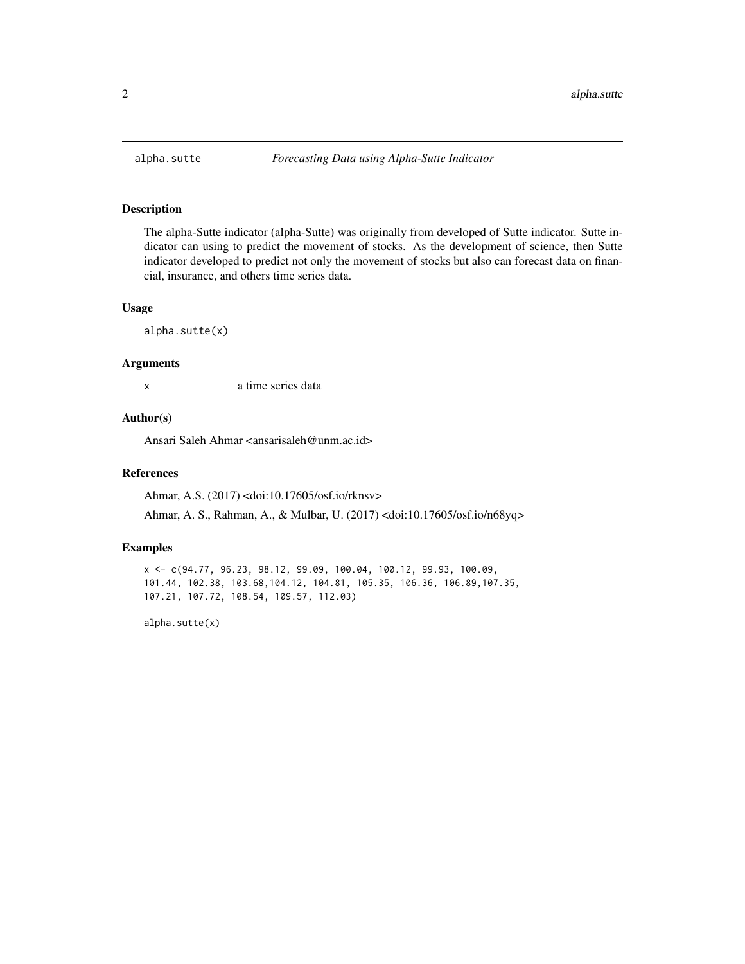<span id="page-1-0"></span>

#### Description

The alpha-Sutte indicator (alpha-Sutte) was originally from developed of Sutte indicator. Sutte indicator can using to predict the movement of stocks. As the development of science, then Sutte indicator developed to predict not only the movement of stocks but also can forecast data on financial, insurance, and others time series data.

#### Usage

alpha.sutte(x)

#### Arguments

x a time series data

#### Author(s)

Ansari Saleh Ahmar <ansarisaleh@unm.ac.id>

#### References

Ahmar, A.S. (2017) <doi:10.17605/osf.io/rknsv>

Ahmar, A. S., Rahman, A., & Mulbar, U. (2017) <doi:10.17605/osf.io/n68yq>

#### Examples

x <- c(94.77, 96.23, 98.12, 99.09, 100.04, 100.12, 99.93, 100.09, 101.44, 102.38, 103.68,104.12, 104.81, 105.35, 106.36, 106.89,107.35, 107.21, 107.72, 108.54, 109.57, 112.03)

alpha.sutte(x)